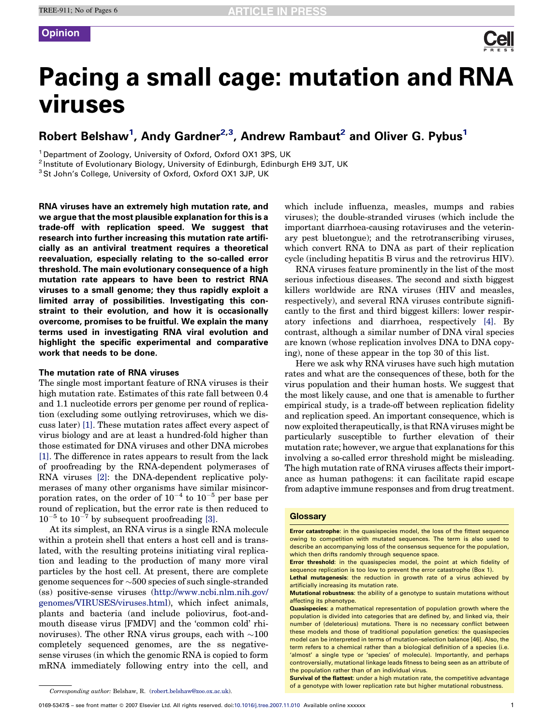## **Opinion**

# Pacing a small cage: mutation and RNA viruses

# Robert Belshaw<sup>[1](#page-0-0)</sup>, Andy Gardner<sup>[2,3](#page-0-0)</sup>, Andrew Rambaut<sup>[2](#page-0-0)</sup> and Oliver G. Pybus<sup>1</sup>

<sup>1</sup> Department of Zoology, University of Oxford, Oxford OX1 3PS, UK

<sup>2</sup> Institute of Evolutionary Biology, University of Edinburgh, Edinburgh EH9 3JT, UK

<sup>3</sup> St John's College, University of Oxford, Oxford OX1 3JP, UK

RNA viruses have an extremely high mutation rate, and we argue that the most plausible explanation for this is a trade-off with replication speed. We suggest that research into further increasing this mutation rate artificially as an antiviral treatment requires a theoretical reevaluation, especially relating to the so-called error threshold. The main evolutionary consequence of a high mutation rate appears to have been to restrict RNA viruses to a small genome; they thus rapidly exploit a limited array of possibilities. Investigating this constraint to their evolution, and how it is occasionally overcome, promises to be fruitful. We explain the many terms used in investigating RNA viral evolution and highlight the specific experimental and comparative work that needs to be done.

### The mutation rate of RNA viruses

The single most important feature of RNA viruses is their high mutation rate. Estimates of this rate fall between  $0.4$ and 1.1 nucleotide errors per genome per round of replication (excluding some outlying retroviruses, which we discuss later) [\[1\]](#page-4-0). These mutation rates affect every aspect of virus biology and are at least a hundred-fold higher than those estimated for DNA viruses and other DNA microbes [\[1\].](#page-4-0) The difference in rates appears to result from the lack of proofreading by the RNA-dependent polymerases of RNA viruses [\[2\]](#page-4-0): the DNA-dependent replicative polymerases of many other organisms have similar misincorporation rates, on the order of  $10^{-4}$  to  $10^{-5}$  per base per round of replication, but the error rate is then reduced to  $10^{-5}$  to  $10^{-7}$  by subsequent proofreading [\[3\].](#page-4-0)

At its simplest, an RNA virus is a single RNA molecule within a protein shell that enters a host cell and is translated, with the resulting proteins initiating viral replication and leading to the production of many more viral particles by the host cell. At present, there are complete genome sequences for  $\sim$  500 species of such single-stranded (ss) positive-sense viruses [\(http://www.ncbi.nlm.nih.gov/](http://www.ncbi.nlm.nih.gov/genomes/VIRUSES/viruses.html) [genomes/VIRUSES/viruses.html\)](http://www.ncbi.nlm.nih.gov/genomes/VIRUSES/viruses.html), which infect animals, plants and bacteria (and include poliovirus, foot-andmouth disease virus [FMDV] and the 'common cold' rhinoviruses). The other RNA virus groups, each with  $\sim 100$ completely sequenced genomes, are the ss negativesense viruses (in which the genomic RNA is copied to form mRNA immediately following entry into the cell, and

which include influenza, measles, mumps and rabies viruses); the double-stranded viruses (which include the important diarrhoea-causing rotaviruses and the veterinary pest bluetongue); and the retrotranscribing viruses, which convert RNA to DNA as part of their replication cycle (including hepatitis B virus and the retrovirus HIV).

RNA viruses feature prominently in the list of the most serious infectious diseases. The second and sixth biggest killers worldwide are RNA viruses (HIV and measles, respectively), and several RNA viruses contribute significantly to the first and third biggest killers: lower respiratory infections and diarrhoea, respectively [\[4\]](#page-4-0). By contrast, although a similar number of DNA viral species are known (whose replication involves DNA to DNA copying), none of these appear in the top 30 of this list.

Here we ask why RNA viruses have such high mutation rates and what are the consequences of these, both for the virus population and their human hosts. We suggest that the most likely cause, and one that is amenable to further empirical study, is a trade-off between replication fidelity and replication speed. An important consequence, which is now exploited therapeutically, is that RNA viruses might be particularly susceptible to further elevation of their mutation rate; however, we argue that explanations for this involving a so-called error threshold might be misleading. The high mutation rate of RNA viruses affects their importance as human pathogens: it can facilitate rapid escape from adaptive immune responses and from drug treatment.

### **Glossary**

Survival of the flattest: under a high mutation rate, the competitive advantage **of a genotype with lower replication rate but higher mutational robustness**.<br>Corresponding author: Belshaw, R. ([robert.belshaw@zoo.ox.ac.uk](mailto:robert.belshaw@zoo.ox.ac.uk)).

Error catastrophe: in the quasispecies model, the loss of the fittest sequence owing to competition with mutated sequences. The term is also used to describe an accompanying loss of the consensus sequence for the population, which then drifts randomly through sequence space.

Error threshold: in the quasispecies model, the point at which fidelity of sequence replication is too low to prevent the error catastrophe (Box 1).

Lethal mutagenesis: the reduction in growth rate of a virus achieved by artificially increasing its mutation rate.

Mutational robustness: the ability of a genotype to sustain mutations without affecting its phenotype.

Quasispecies: a mathematical representation of population growth where the population is divided into categories that are defined by, and linked via, their number of (deleterious) mutations. There is no necessary conflict between these models and those of traditional population genetics: the quasispecies model can be interpreted in terms of mutation–selection balance [46]. Also, the term refers to a chemical rather than a biological definition of a species (i.e. 'almost' a single type or 'species' of molecule). Importantly, and perhaps controversially, mutational linkage leads fitness to being seen as an attribute of the population rather than of an individual virus.

<span id="page-0-0"></span>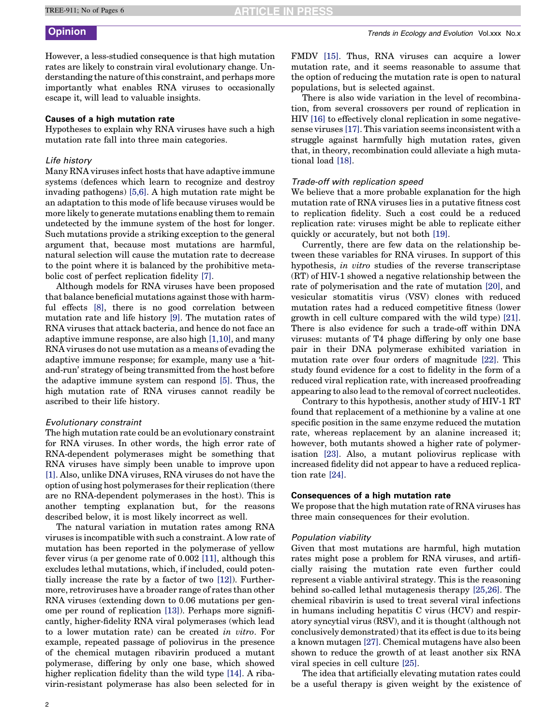TREE-911; No of Pages 6

**RTICLE IN PRESS** 

**Opinion** Trends in Ecology and Evolution Vol.xxx No.x

However, a less-studied consequence is that high mutation rates are likely to constrain viral evolutionary change. Understanding the nature of this constraint, and perhaps more importantly what enables RNA viruses to occasionally escape it, will lead to valuable insights.

### Causes of a high mutation rate

Hypotheses to explain why RNA viruses have such a high mutation rate fall into three main categories.

### Life history

Many RNA viruses infect hosts that have adaptive immune systems (defences which learn to recognize and destroy invading pathogens) [\[5,6\]](#page-4-0). A high mutation rate might be an adaptation to this mode of life because viruses would be more likely to generate mutations enabling them to remain undetected by the immune system of the host for longer. Such mutations provide a striking exception to the general argument that, because most mutations are harmful, natural selection will cause the mutation rate to decrease to the point where it is balanced by the prohibitive metabolic cost of perfect replication fidelity [\[7\]](#page-4-0).

Although models for RNA viruses have been proposed that balance beneficial mutations against those with harmful effects [\[8\],](#page-4-0) there is no good correlation between mutation rate and life history [\[9\]](#page-4-0). The mutation rates of RNA viruses that attack bacteria, and hence do not face an adaptive immune response, are also high [\[1,10\],](#page-4-0) and many RNA viruses do not use mutation as a means of evading the adaptive immune response; for example, many use a 'hitand-run' strategy of being transmitted from the host before the adaptive immune system can respond [\[5\].](#page-4-0) Thus, the high mutation rate of RNA viruses cannot readily be ascribed to their life history.

### Evolutionary constraint

The high mutation rate could be an evolutionary constraint for RNA viruses. In other words, the high error rate of RNA-dependent polymerases might be something that RNA viruses have simply been unable to improve upon [\[1\].](#page-4-0) Also, unlike DNA viruses, RNA viruses do not have the option of using host polymerases for their replication (there are no RNA-dependent polymerases in the host). This is another tempting explanation but, for the reasons described below, it is most likely incorrect as well.

The natural variation in mutation rates among RNA viruses is incompatible with such a constraint. A low rate of mutation has been reported in the polymerase of yellow fever virus (a per genome rate of 0.002 [\[11\]](#page-4-0), although this excludes lethal mutations, which, if included, could potentially increase the rate by a factor of two [\[12\]\)](#page-4-0). Furthermore, retroviruses have a broader range of rates than other RNA viruses (extending down to 0.06 mutations per genome per round of replication [\[13\]\)](#page-4-0). Perhaps more significantly, higher-fidelity RNA viral polymerases (which lead to a lower mutation rate) can be created in vitro. For example, repeated passage of poliovirus in the presence of the chemical mutagen ribavirin produced a mutant polymerase, differing by only one base, which showed higher replication fidelity than the wild type [\[14\].](#page-4-0) A ribavirin-resistant polymerase has also been selected for in FMDV [\[15\].](#page-4-0) Thus, RNA viruses can acquire a lower mutation rate, and it seems reasonable to assume that the option of reducing the mutation rate is open to natural populations, but is selected against.

There is also wide variation in the level of recombination, from several crossovers per round of replication in HIV [\[16\]](#page-4-0) to effectively clonal replication in some negativesense viruses [\[17\].](#page-4-0) This variation seems inconsistent with a struggle against harmfully high mutation rates, given that, in theory, recombination could alleviate a high mutational load [\[18\]](#page-4-0).

### Trade-off with replication speed

We believe that a more probable explanation for the high mutation rate of RNA viruses lies in a putative fitness cost to replication fidelity. Such a cost could be a reduced replication rate: viruses might be able to replicate either quickly or accurately, but not both [\[19\].](#page-4-0)

Currently, there are few data on the relationship between these variables for RNA viruses. In support of this hypothesis, *in vitro* studies of the reverse transcriptase (RT) of HIV-1 showed a negative relationship between the rate of polymerisation and the rate of mutation [\[20\]](#page-4-0), and vesicular stomatitis virus (VSV) clones with reduced mutation rates had a reduced competitive fitness (lower growth in cell culture compared with the wild type) [\[21\]](#page-4-0). There is also evidence for such a trade-off within DNA viruses: mutants of T4 phage differing by only one base pair in their DNA polymerase exhibited variation in mutation rate over four orders of magnitude [\[22\]](#page-4-0). This study found evidence for a cost to fidelity in the form of a reduced viral replication rate, with increased proofreading appearing to also lead to the removal of correct nucleotides.

Contrary to this hypothesis, another study of HIV-1 RT found that replacement of a methionine by a valine at one specific position in the same enzyme reduced the mutation rate, whereas replacement by an alanine increased it; however, both mutants showed a higher rate of polymerisation [\[23\].](#page-4-0) Also, a mutant poliovirus replicase with increased fidelity did not appear to have a reduced replication rate [\[24\]](#page-4-0).

### Consequences of a high mutation rate

We propose that the high mutation rate of RNA viruses has three main consequences for their evolution.

### Population viability

Given that most mutations are harmful, high mutation rates might pose a problem for RNA viruses, and artificially raising the mutation rate even further could represent a viable antiviral strategy. This is the reasoning behind so-called lethal mutagenesis therapy [\[25,26\].](#page-4-0) The chemical ribavirin is used to treat several viral infections in humans including hepatitis C virus (HCV) and respiratory syncytial virus (RSV), and it is thought (although not conclusively demonstrated) that its effect is due to its being a known mutagen [\[27\]](#page-4-0). Chemical mutagens have also been shown to reduce the growth of at least another six RNA viral species in cell culture [\[25\]](#page-4-0).

The idea that artificially elevating mutation rates could be a useful therapy is given weight by the existence of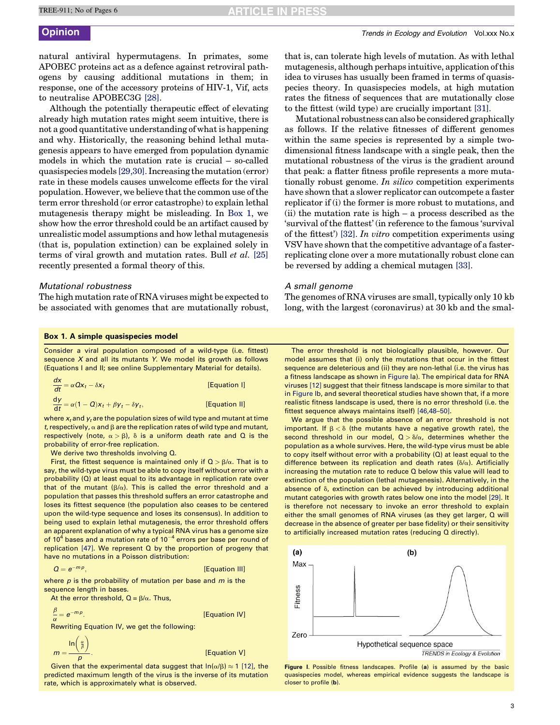natural antiviral hypermutagens. In primates, some APOBEC proteins act as a defence against retroviral pathogens by causing additional mutations in them; in response, one of the accessory proteins of HIV-1, Vif, acts to neutralise APOBEC3G [\[28\]](#page-4-0).

Although the potentially therapeutic effect of elevating already high mutation rates might seem intuitive, there is not a good quantitative understanding of what is happening and why. Historically, the reasoning behind lethal mutagenesis appears to have emerged from population dynamic models in which the mutation rate is crucial – so-called quasispecies models [\[29,30\]](#page-4-0). Increasing the mutation (error) rate in these models causes unwelcome effects for the viral population. However, we believe that the common use of the term error threshold (or error catastrophe) to explain lethal mutagenesis therapy might be misleading. In [Box 1,](#page-2-0) we show how the error threshold could be an artifact caused by unrealistic model assumptions and how lethal mutagenesis (that is, population extinction) can be explained solely in terms of viral growth and mutation rates. Bull et al. [\[25\]](#page-4-0) recently presented a formal theory of this.

### Mutational robustness

The high mutation rate of RNA viruses might be expected to be associated with genomes that are mutationally robust,

that is, can tolerate high levels of mutation. As with lethal mutagenesis, although perhaps intuitive, application of this idea to viruses has usually been framed in terms of quasispecies theory. In quasispecies models, at high mutation rates the fitness of sequences that are mutationally close to the fittest (wild type) are crucially important [\[31\].](#page-4-0)

Mutational robustness can also be considered graphically as follows. If the relative fitnesses of different genomes within the same species is represented by a simple twodimensional fitness landscape with a single peak, then the mutational robustness of the virus is the gradient around that peak: a flatter fitness profile represents a more mutationally robust genome. In silico competition experiments have shown that a slower replicator can outcompete a faster replicator if (i) the former is more robust to mutations, and (ii) the mutation rate is high – a process described as the 'survival of the flattest' (in reference to the famous 'survival of the fittest') [\[32\].](#page-4-0) In vitro competition experiments using VSV have shown that the competitive advantage of a fasterreplicating clone over a more mutationally robust clone can be reversed by adding a chemical mutagen [\[33\].](#page-5-0)

### A small genome

The genomes of RNA viruses are small, typically only 10 kb long, with the largest (coronavirus) at 30 kb and the smal-

### Box 1. A simple quasispecies model

Consider a viral population composed of a wild-type (i.e. fittest) sequence  $X$  and all its mutants  $Y$ . We model its growth as follows (Equations I and II; see online Supplementary Material for details).

| $\frac{dx}{dt} = \alpha Qx_t - \delta x_t$                   | [Equation I]  |
|--------------------------------------------------------------|---------------|
| $\frac{dy}{dt} = \alpha(1 - Q)x_t + \beta y_t - \delta y_t,$ | [Equation II] |

where  $x_t$  and  $y_t$  are the population sizes of wild type and mutant at time t, respectively,  $\alpha$  and  $\beta$  are the replication rates of wild type and mutant, respectively (note,  $\alpha > \beta$ ),  $\delta$  is a uniform death rate and Q is the probability of error-free replication.

We derive two thresholds involving Q.

First, the fittest sequence is maintained only if  $Q > \beta/\alpha$ . That is to say, the wild-type virus must be able to copy itself without error with a probability (Q) at least equal to its advantage in replication rate over that of the mutant ( $\beta/\alpha$ ). This is called the error threshold and a population that passes this threshold suffers an error catastrophe and loses its fittest sequence (the population also ceases to be centered upon the wild-type sequence and loses its consensus). In addition to being used to explain lethal mutagenesis, the error threshold offers an apparent explanation of why a typical RNA virus has a genome size of  $10<sup>4</sup>$  bases and a mutation rate of  $10<sup>-4</sup>$  errors per base per round of replication [\[47\]](#page-5-0). We represent Q by the proportion of progeny that have no mutations in a Poisson distribution:

$$
Q = e^{-mp},
$$
 [Equation III]

where  $p$  is the probability of mutation per base and  $m$  is the sequence length in bases.

At the error threshold,  $Q = \beta/\alpha$ . Thus,

$$
\frac{\beta}{\alpha} = e^{-mp}.
$$

Rewriting Equation IV, we get the following:

 $m =$  $\ln\left(\frac{\alpha}{\beta}\right)$  $\lambda$ 

[Equation V]

[Equation IV]

<span id="page-2-0"></span>Given that the experimental data suggest that  $\ln(\alpha/\beta) \approx 1$  [\[12\]](#page-4-0), the predicted maximum length of the virus is the inverse of its mutation rate, which is approximately what is observed.

The error threshold is not biologically plausible, however. Our model assumes that (i) only the mutations that occur in the fittest sequence are deleterious and (ii) they are non-lethal (i.e. the virus has a fitness landscape as shown in [Figure Ia](#page-2-0)). The empirical data for RNA viruses [\[12\]](#page-4-0) suggest that their fitness landscape is more similar to that in [Figure I](#page-2-0)b, and several theoretical studies have shown that, if a more realistic fitness landscape is used, there is no error threshold (i.e. the fittest sequence always maintains itself) [\[46,48–50\]](#page-5-0).

We argue that the possible absence of an error threshold is not important. If  $\beta < \delta$  (the mutants have a negative growth rate), the second threshold in our model,  $Q > \delta/\alpha$ , determines whether the population as a whole survives. Here, the wild-type virus must be able to copy itself without error with a probability (Q) at least equal to the difference between its replication and death rates ( $\delta/\alpha$ ). Artificially increasing the mutation rate to reduce Q below this value will lead to extinction of the population (lethal mutagenesis). Alternatively, in the absence of  $\delta$ , extinction can be achieved by introducing additional mutant categories with growth rates below one into the model [\[29\]](#page-4-0). It is therefore not necessary to invoke an error threshold to explain either the small genomes of RNA viruses (as they get larger, Q will decrease in the absence of greater per base fidelity) or their sensitivity to artificially increased mutation rates (reducing Q directly).



Figure I. Possible fitness landscapes. Profile (a) is assumed by the basic quasispecies model, whereas empirical evidence suggests the landscape is closer to profile (b).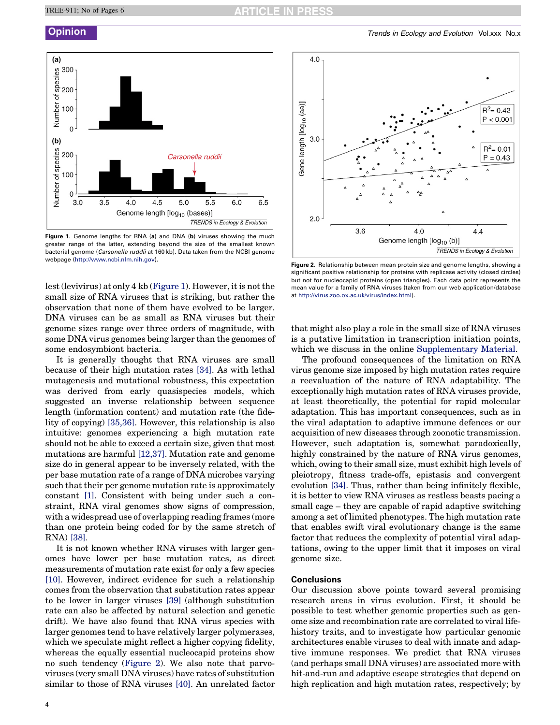

Figure 1. Genome lengths for RNA (a) and DNA (b) viruses showing the much greater range of the latter, extending beyond the size of the smallest known bacterial genome (Carsonella ruddii at 160 kb). Data taken from the NCBI genome webpage ([http://www.ncbi.nlm.nih.gov](http://virus.zoo.ox.ac.uk/virus/index.html)).

lest (levivirus) at only 4 kb [\(Figure 1\)](#page-3-0). However, it is not the small size of RNA viruses that is striking, but rather the observation that none of them have evolved to be larger. DNA viruses can be as small as RNA viruses but their genome sizes range over three orders of magnitude, with some DNA virus genomes being larger than the genomes of some endosymbiont bacteria.

It is generally thought that RNA viruses are small because of their high mutation rates [\[34\].](#page-5-0) As with lethal mutagenesis and mutational robustness, this expectation was derived from early quasispecies models, which suggested an inverse relationship between sequence length (information content) and mutation rate (the fidelity of copying) [\[35,36\]](#page-5-0). However, this relationship is also intuitive: genomes experiencing a high mutation rate should not be able to exceed a certain size, given that most mutations are harmful [\[12,37\]](#page-4-0). Mutation rate and genome size do in general appear to be inversely related, with the per base mutation rate of a range of DNA microbes varying such that their per genome mutation rate is approximately constant [\[1\]](#page-4-0). Consistent with being under such a constraint, RNA viral genomes show signs of compression, with a widespread use of overlapping reading frames (more than one protein being coded for by the same stretch of RNA) [\[38\].](#page-5-0)

<span id="page-3-0"></span>It is not known whether RNA viruses with larger genomes have lower per base mutation rates, as direct measurements of mutation rate exist for only a few species [\[10\]](#page-4-0). However, indirect evidence for such a relationship comes from the observation that substitution rates appear to be lower in larger viruses [\[39\]](#page-5-0) (although substitution rate can also be affected by natural selection and genetic drift). We have also found that RNA virus species with larger genomes tend to have relatively larger polymerases, which we speculate might reflect a higher copying fidelity, whereas the equally essential nucleocapid proteins show no such tendency [\(Figure 2](#page-3-0)). We also note that parvoviruses (very small DNA viruses) have rates of substitution similar to those of RNA viruses [\[40\].](#page-5-0) An unrelated factor



Figure 2. Relationship between mean protein size and genome lengths, showing a significant positive relationship for proteins with replicase activity (closed circles) but not for nucleocapid proteins (open triangles). Each data point represents the mean value for a family of RNA viruses (taken from our web application/database at <http://virus.zoo.ox.ac.uk/virus/index.html>).

that might also play a role in the small size of RNA viruses is a putative limitation in transcription initiation points, which we discuss in the online Supplementary Material.

The profound consequences of the limitation on RNA virus genome size imposed by high mutation rates require a reevaluation of the nature of RNA adaptability. The exceptionally high mutation rates of RNA viruses provide, at least theoretically, the potential for rapid molecular adaptation. This has important consequences, such as in the viral adaptation to adaptive immune defences or our acquisition of new diseases through zoonotic transmission. However, such adaptation is, somewhat paradoxically, highly constrained by the nature of RNA virus genomes, which, owing to their small size, must exhibit high levels of pleiotropy, fitness trade-offs, epistasis and convergent evolution [\[34\].](#page-5-0) Thus, rather than being infinitely flexible, it is better to view RNA viruses as restless beasts pacing a small cage – they are capable of rapid adaptive switching among a set of limited phenotypes. The high mutation rate that enables swift viral evolutionary change is the same factor that reduces the complexity of potential viral adaptations, owing to the upper limit that it imposes on viral genome size.

### **Conclusions**

Our discussion above points toward several promising research areas in virus evolution. First, it should be possible to test whether genomic properties such as genome size and recombination rate are correlated to viral lifehistory traits, and to investigate how particular genomic architectures enable viruses to deal with innate and adaptive immune responses. We predict that RNA viruses (and perhaps small DNA viruses) are associated more with hit-and-run and adaptive escape strategies that depend on high replication and high mutation rates, respectively; by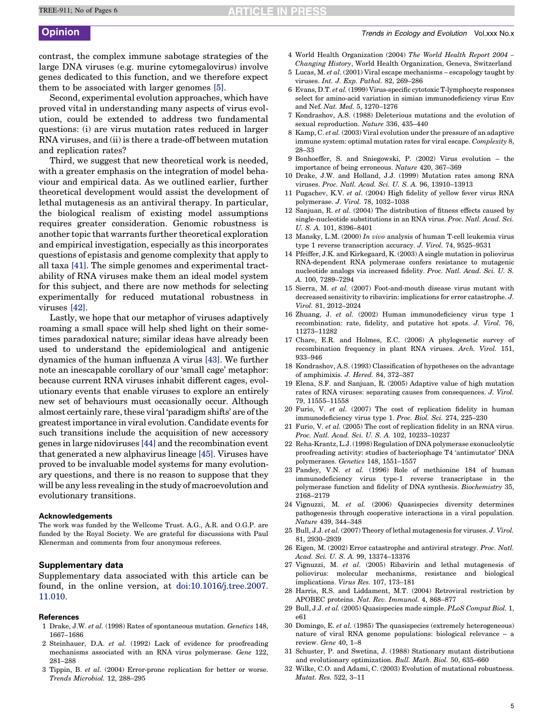contrast, the complex immune sabotage strategies of the large DNA viruses (e.g. murine cytomegalovirus) involve genes dedicated to this function, and we therefore expect them to be associated with larger genomes [\[5\].](#page-4-0)

Second, experimental evolution approaches, which have proved vital in understanding many aspects of virus evolution, could be extended to address two fundamental questions: (i) are virus mutation rates reduced in larger RNA viruses, and (ii) is there a trade-off between mutation and replication rates?

Third, we suggest that new theoretical work is needed, with a greater emphasis on the integration of model behaviour and empirical data. As we outlined earlier, further theoretical development would assist the development of lethal mutagenesis as an antiviral therapy. In particular, the biological realism of existing model assumptions requires greater consideration. Genomic robustness is another topic that warrants further theoretical exploration and empirical investigation, especially as this incorporates questions of epistasis and genome complexity that apply to all taxa [\[41\].](#page-5-0) The simple genomes and experimental tractability of RNA viruses make them an ideal model system for this subject, and there are now methods for selecting experimentally for reduced mutational robustness in viruses [\[42\]](#page-5-0).

Lastly, we hope that our metaphor of viruses adaptively roaming a small space will help shed light on their sometimes paradoxical nature; similar ideas have already been used to understand the epidemiological and antigenic dynamics of the human influenza A virus [\[43\].](#page-5-0) We further note an inescapable corollary of our 'small cage' metaphor: because current RNA viruses inhabit different cages, evolutionary events that enable viruses to explore an entirely new set of behaviours must occasionally occur. Although almost certainly rare, these viral 'paradigm shifts' are of the greatest importance in viral evolution. Candidate events for such transitions include the acquisition of new accessory genes in large nidoviruses [\[44\]](#page-5-0) and the recombination event that generated a new alphavirus lineage [\[45\]](#page-5-0). Viruses have proved to be invaluable model systems for many evolutionary questions, and there is no reason to suppose that they will be any less revealing in the study of macroevolution and evolutionary transitions.

### Acknowledgements

The work was funded by the Wellcome Trust. A.G., A.R. and O.G.P. are funded by the Royal Society. We are grateful for discussions with Paul Klenerman and comments from four anonymous referees.

### Supplementary data

Supplementary data associated with this article can be found, in the online version, at [doi:10.1016/j.tree.2007.](http://dx.doi.org/10.1016/j.tree.2007.11.010) [11.010](http://dx.doi.org/10.1016/j.tree.2007.11.010).

### References

- 1 Drake, J.W. et al. (1998) Rates of spontaneous mutation. Genetics 148, 1667–1686
- 2 Steinhauer, D.A. et al. (1992) Lack of evidence for proofreading mechanisms associated with an RNA virus polymerase. Gene 122, 281–288
- <span id="page-4-0"></span>3 Tippin, B. et al. (2004) Error-prone replication for better or worse. Trends Microbiol. 12, 288–295
- 4 World Health Organization (2004) The World Health Report 2004 –
- Changing History, World Health Organization, Geneva, Switzerland 5 Lucas, M. et al. (2001) Viral escape mechanisms – escapology taught by viruses. Int. J. Exp. Pathol. 82, 269–286
- 6 Evans, D.T. et al. (1999) Virus-specific cytotoxic T-lymphocyte responses select for amino-acid variation in simian immunodeficiency virus Env and Nef. Nat. Med. 5, 1270–1276
- 7 Kondrashov, A.S. (1988) Deleterious mutations and the evolution of sexual reproduction. Nature 336, 435–440
- 8 Kamp, C. et al. (2003) Viral evolution under the pressure of an adaptive immune system: optimal mutation rates for viral escape. Complexity 8, 28–33
- 9 Bonhoeffer, S. and Sniegowski, P. (2002) Virus evolution the importance of being erroneous. Nature 420, 367–369
- 10 Drake, J.W. and Holland, J.J. (1999) Mutation rates among RNA viruses. Proc. Natl. Acad. Sci. U. S. A. 96, 13910–13913
- 11 Pugachev, K.V. et al. (2004) High fidelity of yellow fever virus RNA polymerase. J. Virol. 78, 1032–1038
- 12 Sanjuan, R. et al. (2004) The distribution of fitness effects caused by single-nucleotide substitutions in an RNA virus. Proc. Natl. Acad. Sci. U. S. A. 101, 8396–8401
- 13 Mansky, L.M. (2000) In vivo analysis of human T-cell leukemia virus type 1 reverse transcription accuracy. J. Virol. 74, 9525–9531
- 14 Pfeiffer, J.K. and Kirkegaard, K. (2003) A single mutation in poliovirus RNA-dependent RNA polymerase confers resistance to mutagenic nucleotide analogs via increased fidelity. Proc. Natl. Acad. Sci. U. S. A. 100, 7289–7294
- 15 Sierra, M. et al. (2007) Foot-and-mouth disease virus mutant with decreased sensitivity to ribavirin: implications for error catastrophe. J. Virol. 81, 2012–2024
- 16 Zhuang, J. et al. (2002) Human immunodeficiency virus type 1 recombination: rate, fidelity, and putative hot spots. J. Virol. 76, 11273–11282
- 17 Chare, E.R. and Holmes, E.C. (2006) A phylogenetic survey of recombination frequency in plant RNA viruses. Arch. Virol. 151, 933–946
- 18 Kondrashov, A.S. (1993) Classification of hypotheses on the advantage of amphimixis. J. Hered. 84, 372–387
- 19 Elena, S.F. and Sanjuan, R. (2005) Adaptive value of high mutation rates of RNA viruses: separating causes from consequences. J. Virol. 79, 11555–11558
- 20 Furio, V. et al. (2007) The cost of replication fidelity in human immunodeficiency virus type 1. Proc. Biol. Sci. 274, 225–230
- 21 Furio, V. et al. (2005) The cost of replication fidelity in an RNA virus. Proc. Natl. Acad. Sci. U. S. A. 102, 10233–10237
- 22 Reha-Krantz, L.J. (1998) Regulation of DNA polymerase exonucleolytic proofreading activity: studies of bacteriophage T4 'antimutator' DNA polymerases. Genetics 148, 1551–1557
- 23 Pandey, V.N. et al. (1996) Role of methionine 184 of human immunodeficiency virus type-1 reverse transcriptase in the polymerase function and fidelity of DNA synthesis. Biochemistry 35, 2168–2179
- 24 Vignuzzi, M. et al. (2006) Quasispecies diversity determines pathogenesis through cooperative interactions in a viral population. Nature 439, 344–348
- 25 Bull, J.J. et al. (2007) Theory of lethal mutagenesis for viruses. J. Virol. 81, 2930–2939
- 26 Eigen, M. (2002) Error catastrophe and antiviral strategy. Proc. Natl. Acad. Sci. U. S. A. 99, 13374–13376
- 27 Vignuzzi, M. et al. (2005) Ribavirin and lethal mutagenesis of poliovirus: molecular mechanisms, resistance and biological implications. Virus Res. 107, 173–181
- 28 Harris, R.S. and Liddament, M.T. (2004) Retroviral restriction by APOBEC proteins. Nat. Rev. Immunol. 4, 868–877
- 29 Bull, J.J. et al. (2005) Quasispecies made simple. PLoS Comput Biol. 1, e61
- 30 Domingo, E. et al. (1985) The quasispecies (extremely heterogeneous) nature of viral RNA genome populations: biological relevance – a review. Gene 40, 1–8
- 31 Schuster, P. and Swetina, J. (1988) Stationary mutant distributions and evolutionary optimization. Bull. Math. Biol. 50, 635–660
- 32 Wilke, C.O. and Adami, C. (2003) Evolution of mutational robustness. Mutat. Res. 522, 3–11